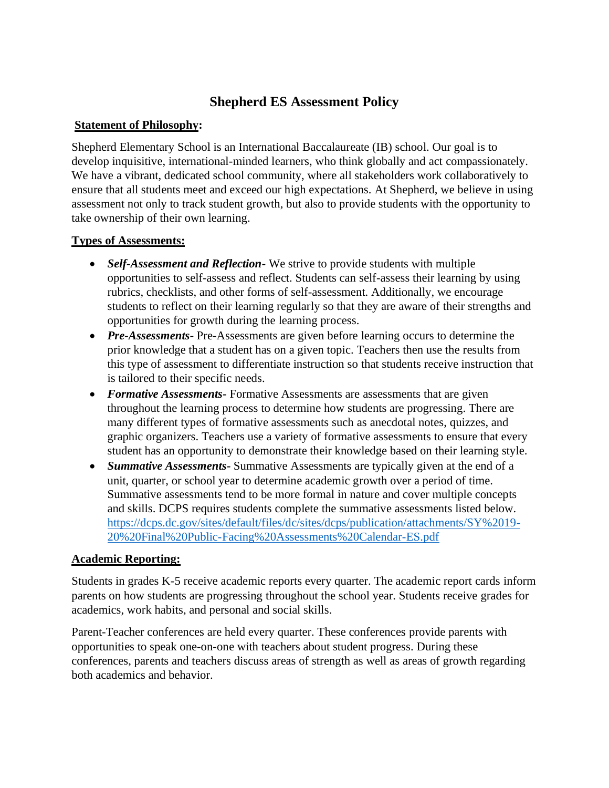# **Shepherd ES Assessment Policy**

## **Statement of Philosophy:**

Shepherd Elementary School is an International Baccalaureate (IB) school. Our goal is to develop inquisitive, international-minded learners, who think globally and act compassionately. We have a vibrant, dedicated school community, where all stakeholders work collaboratively to ensure that all students meet and exceed our high expectations. At Shepherd, we believe in using assessment not only to track student growth, but also to provide students with the opportunity to take ownership of their own learning.

# **Types of Assessments:**

- *Self-Assessment and Reflection-* We strive to provide students with multiple opportunities to self-assess and reflect. Students can self-assess their learning by using rubrics, checklists, and other forms of self-assessment. Additionally, we encourage students to reflect on their learning regularly so that they are aware of their strengths and opportunities for growth during the learning process.
- *Pre-Assessments* Pre-Assessments are given before learning occurs to determine the prior knowledge that a student has on a given topic. Teachers then use the results from this type of assessment to differentiate instruction so that students receive instruction that is tailored to their specific needs.
- *Formative Assessments-* Formative Assessments are assessments that are given throughout the learning process to determine how students are progressing. There are many different types of formative assessments such as anecdotal notes, quizzes, and graphic organizers. Teachers use a variety of formative assessments to ensure that every student has an opportunity to demonstrate their knowledge based on their learning style.
- *Summative Assessments-* Summative Assessments are typically given at the end of a unit, quarter, or school year to determine academic growth over a period of time. Summative assessments tend to be more formal in nature and cover multiple concepts and skills. DCPS requires students complete the summative assessments listed below. [https://dcps.dc.gov/sites/default/files/dc/sites/dcps/publication/attachments/SY%2019-](https://dcps.dc.gov/sites/default/files/dc/sites/dcps/publication/attachments/SY%2019-20%20Final%20Public-Facing%20Assessments%20Calendar-ES.pdf) [20%20Final%20Public-Facing%20Assessments%20Calendar-ES.pdf](https://dcps.dc.gov/sites/default/files/dc/sites/dcps/publication/attachments/SY%2019-20%20Final%20Public-Facing%20Assessments%20Calendar-ES.pdf)

### **Academic Reporting:**

Students in grades K-5 receive academic reports every quarter. The academic report cards inform parents on how students are progressing throughout the school year. Students receive grades for academics, work habits, and personal and social skills.

Parent-Teacher conferences are held every quarter. These conferences provide parents with opportunities to speak one-on-one with teachers about student progress. During these conferences, parents and teachers discuss areas of strength as well as areas of growth regarding both academics and behavior.